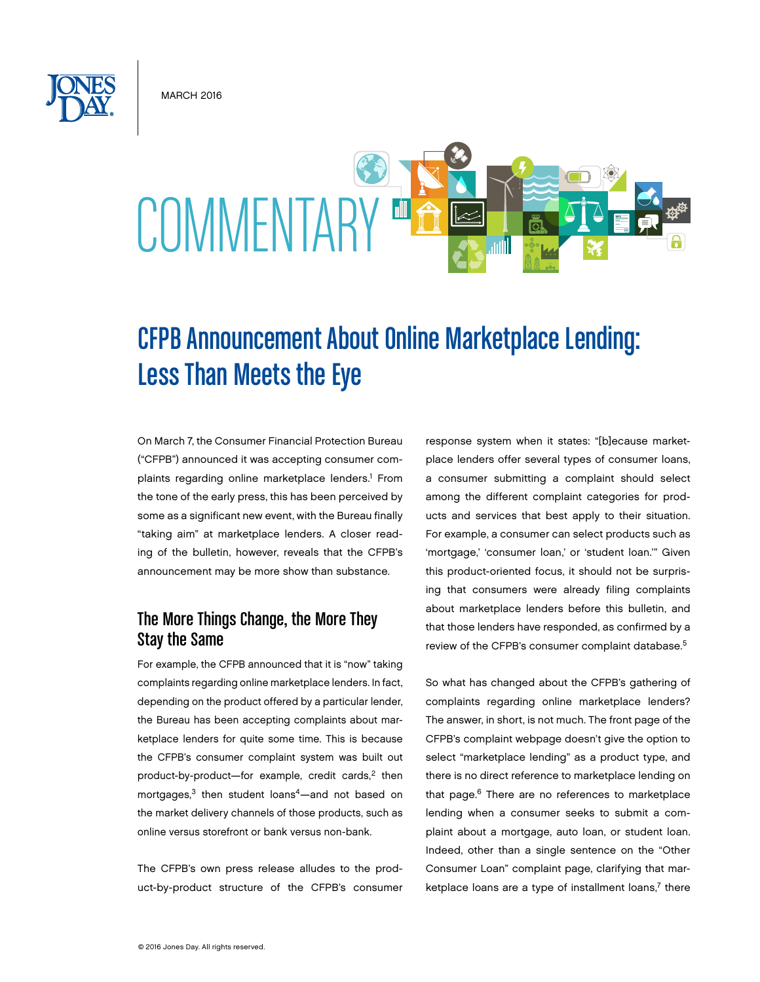**MARCH 2016** 



# CFPB Announcement About Online Marketplace Lending: Less Than Meets the Eye

On March 7, the Consumer Financial Protection Bureau ("CFPB") announced it was accepting consumer complaints regarding online marketplace lenders.<sup>1</sup> From the tone of the early press, this has been perceived by some as a significant new event, with the Bureau finally "taking aim" at marketplace lenders. A closer reading of the bulletin, however, reveals that the CFPB's announcement may be more show than substance.

# The More Things Change, the More They Stay the Same

For example, the CFPB announced that it is "now" taking complaints regarding online marketplace lenders. In fact, depending on the product offered by a particular lender, the Bureau has been accepting complaints about marketplace lenders for quite some time. This is because the CFPB's consumer complaint system was built out product-by-product-for example, credit cards, $2$  then mortgages,<sup>3</sup> then student loans<sup>4</sup>—and not based on the market delivery channels of those products, such as online versus storefront or bank versus non-bank.

The CFPB's own press release alludes to the product-by-product structure of the CFPB's consumer response system when it states: "[b]ecause marketplace lenders offer several types of consumer loans, a consumer submitting a complaint should select among the different complaint categories for products and services that best apply to their situation. For example, a consumer can select products such as 'mortgage,' 'consumer loan,' or 'student loan.'" Given this product-oriented focus, it should not be surprising that consumers were already filing complaints about marketplace lenders before this bulletin, and that those lenders have responded, as confirmed by a review of the CFPB's consumer complaint database.5

So what has changed about the CFPB's gathering of complaints regarding online marketplace lenders? The answer, in short, is not much. The front page of the CFPB's complaint webpage doesn't give the option to select "marketplace lending" as a product type, and there is no direct reference to marketplace lending on that page.<sup>6</sup> There are no references to marketplace lending when a consumer seeks to submit a complaint about a mortgage, auto loan, or student loan. Indeed, other than a single sentence on the "Other Consumer Loan" complaint page, clarifying that marketplace loans are a type of installment loans, $7$  there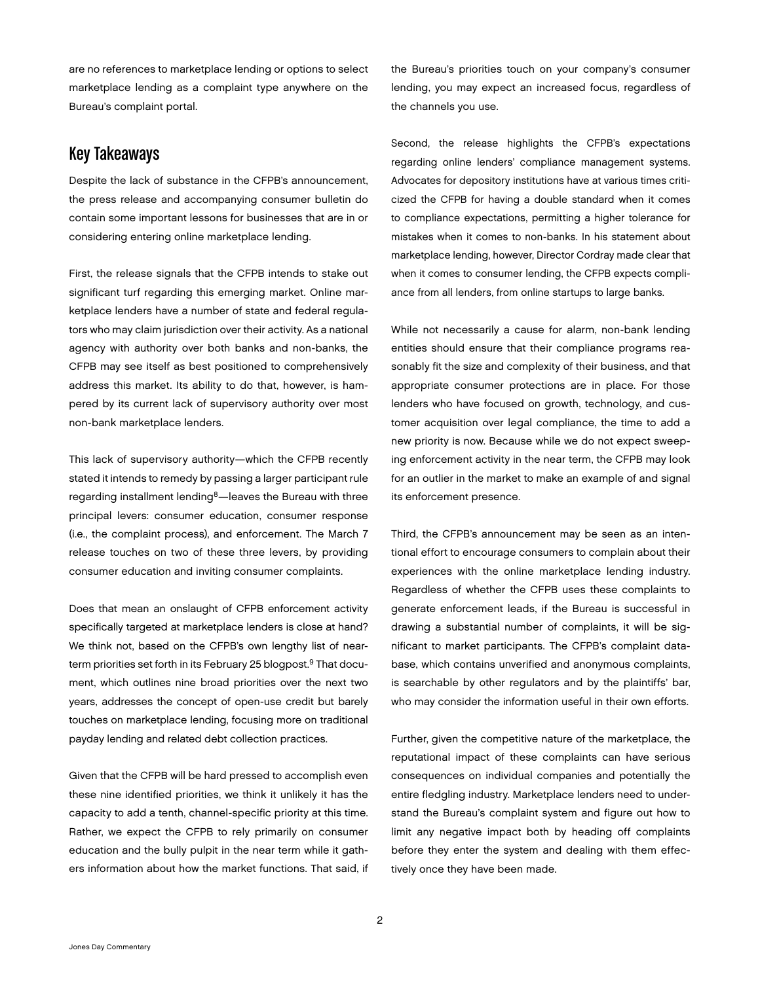are no references to marketplace lending or options to select marketplace lending as a complaint type anywhere on the Bureau's complaint portal.

## Key Takeaways

Despite the lack of substance in the CFPB's announcement, the press release and accompanying consumer bulletin do contain some important lessons for businesses that are in or considering entering online marketplace lending.

First, the release signals that the CFPB intends to stake out significant turf regarding this emerging market. Online marketplace lenders have a number of state and federal regulators who may claim jurisdiction over their activity. As a national agency with authority over both banks and non-banks, the CFPB may see itself as best positioned to comprehensively address this market. Its ability to do that, however, is hampered by its current lack of supervisory authority over most non-bank marketplace lenders.

This lack of supervisory authority—which the CFPB recently stated it intends to remedy by passing a larger participant rule regarding installment lending<sup>8</sup>-leaves the Bureau with three principal levers: consumer education, consumer response (i.e., the complaint process), and enforcement. The March 7 release touches on two of these three levers, by providing consumer education and inviting consumer complaints.

Does that mean an onslaught of CFPB enforcement activity specifically targeted at marketplace lenders is close at hand? We think not, based on the CFPB's own lengthy list of nearterm priorities set forth in its February 25 blogpost.<sup>9</sup> That document, which outlines nine broad priorities over the next two years, addresses the concept of open-use credit but barely touches on marketplace lending, focusing more on traditional payday lending and related debt collection practices.

Given that the CFPB will be hard pressed to accomplish even these nine identified priorities, we think it unlikely it has the capacity to add a tenth, channel-specific priority at this time. Rather, we expect the CFPB to rely primarily on consumer education and the bully pulpit in the near term while it gathers information about how the market functions. That said, if the Bureau's priorities touch on your company's consumer lending, you may expect an increased focus, regardless of the channels you use.

Second, the release highlights the CFPB's expectations regarding online lenders' compliance management systems. Advocates for depository institutions have at various times criticized the CFPB for having a double standard when it comes to compliance expectations, permitting a higher tolerance for mistakes when it comes to non-banks. In his statement about marketplace lending, however, Director Cordray made clear that when it comes to consumer lending, the CFPB expects compliance from all lenders, from online startups to large banks.

While not necessarily a cause for alarm, non-bank lending entities should ensure that their compliance programs reasonably fit the size and complexity of their business, and that appropriate consumer protections are in place. For those lenders who have focused on growth, technology, and customer acquisition over legal compliance, the time to add a new priority is now. Because while we do not expect sweeping enforcement activity in the near term, the CFPB may look for an outlier in the market to make an example of and signal its enforcement presence.

Third, the CFPB's announcement may be seen as an intentional effort to encourage consumers to complain about their experiences with the online marketplace lending industry. Regardless of whether the CFPB uses these complaints to generate enforcement leads, if the Bureau is successful in drawing a substantial number of complaints, it will be significant to market participants. The CFPB's complaint database, which contains unverified and anonymous complaints, is searchable by other regulators and by the plaintiffs' bar, who may consider the information useful in their own efforts.

Further, given the competitive nature of the marketplace, the reputational impact of these complaints can have serious consequences on individual companies and potentially the entire fledgling industry. Marketplace lenders need to understand the Bureau's complaint system and figure out how to limit any negative impact both by heading off complaints before they enter the system and dealing with them effectively once they have been made.